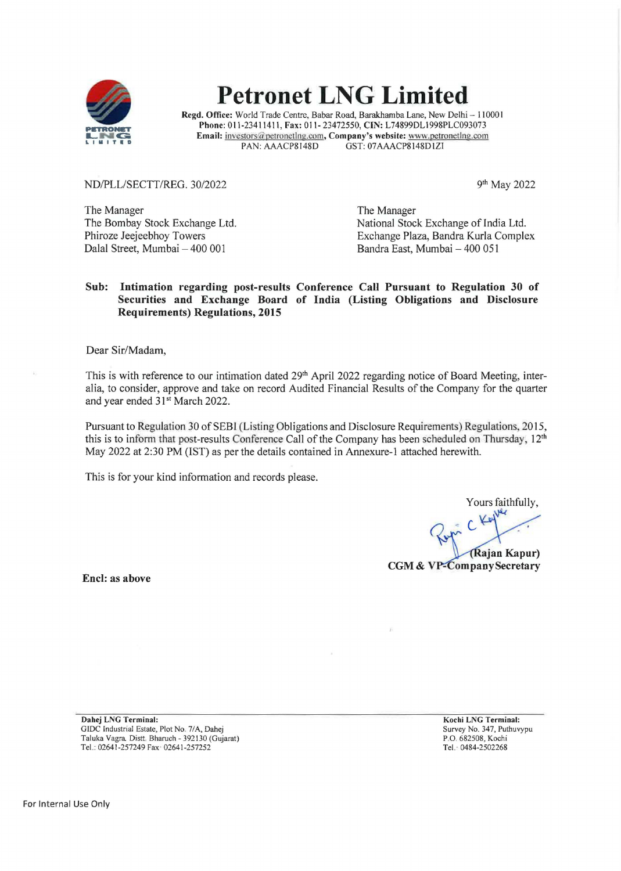

# **Petronet LNG Limited**

**Regd. Office:** World Trade Centre, Babar Road, Barakhamba Lane, New Delhi - 110001 **Phone:** 011-23411411, **Fax:** 011-23472550, **CIN:** L74899DL1998PLC093073 **Email:**  $\frac{inverse}{{\text{IN}}}\frac{L}{\text{In}}$  (Later one Later one DAN: AAACP8148D GST: 07AAACP8148D12I GST: 07AAACP8148D1ZI

ND/PLL/SECTT/REG. 30/2022

9th May 2022

The Manager The Bombay Stock Exchange Ltd. Phiroze Jeejeebhoy Towers Dalal Street, Mumbai - 400 001

The Manager National Stock Exchange of India Ltd. Exchange Plaza, Bandra Kurla Complex Bandra East, Mumbai - 400 051

#### **Sub: Intimation regarding post-results Conference Call Pursuant to Regulation 30 of Securities and Exchange Board of India (Listing Obligations and Disclosure Requirements) Regulations, 2015**

Dear Sir/Madam,

This is with reference to our intimation dated 29<sup>th</sup> April 2022 regarding notice of Board Meeting, interalia, to consider, approve and take on record Audited Financial Results of the Company for the quarter and year ended 31<sup>st</sup> March 2022.

Pursuant to Regulation 30 of SEBl (Listing Obligations and Disclosure Requirements) Regulations 2015, this is to inform that post-results Conference Call of the Company has been scheduled on Thursday,  $12<sup>th</sup>$ May 2022 at 2:30 PM (1ST) as per the details contained in Annexure-1 attached herewith.

This is for your kind information and records please.

Yours faithfully,

(Rajan Kapur) **CGM & VP-Company Secretary** 

**Encl: as above** 

**Dahej LNG Terminal:**  GIDC Industrial Estate, Plot No. 7/A, Dahej Taluka Vagra Distt. Bharuch- 392130 (Gujarat) Tel.: 02641-257249 Fax· 02641-257252

**Kochi LNG Terminal:**  Survey No. 347, Puthuvypu P.O. 682508, Kochi Tel. · 0484-2502268